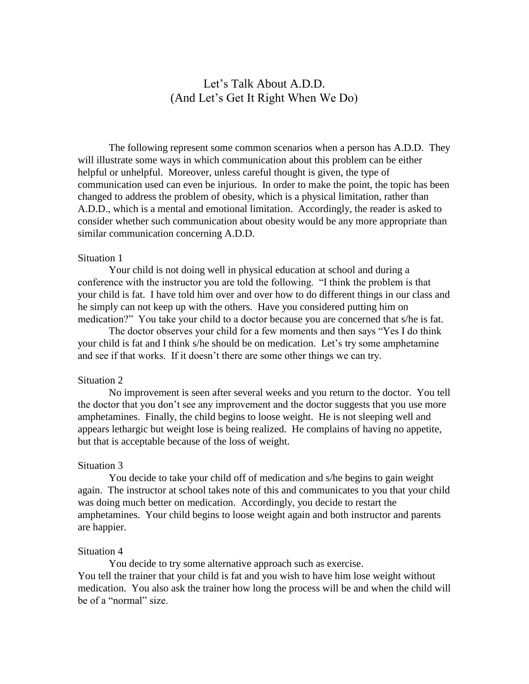# Let's Talk About A.D.D. (And Let's Get It Right When We Do)

The following represent some common scenarios when a person has A.D.D. They will illustrate some ways in which communication about this problem can be either helpful or unhelpful. Moreover, unless careful thought is given, the type of communication used can even be injurious. In order to make the point, the topic has been changed to address the problem of obesity, which is a physical limitation, rather than A.D.D., which is a mental and emotional limitation. Accordingly, the reader is asked to consider whether such communication about obesity would be any more appropriate than similar communication concerning A.D.D.

## Situation 1

Your child is not doing well in physical education at school and during a conference with the instructor you are told the following. "I think the problem is that your child is fat. I have told him over and over how to do different things in our class and he simply can not keep up with the others. Have you considered putting him on medication?" You take your child to a doctor because you are concerned that s/he is fat.

The doctor observes your child for a few moments and then says "Yes I do think your child is fat and I think s/he should be on medication. Let's try some amphetamine and see if that works. If it doesn't there are some other things we can try.

#### Situation 2

No improvement is seen after several weeks and you return to the doctor. You tell the doctor that you don't see any improvement and the doctor suggests that you use more amphetamines. Finally, the child begins to loose weight. He is not sleeping well and appears lethargic but weight lose is being realized. He complains of having no appetite, but that is acceptable because of the loss of weight.

# Situation 3

You decide to take your child off of medication and s/he begins to gain weight again. The instructor at school takes note of this and communicates to you that your child was doing much better on medication. Accordingly, you decide to restart the amphetamines. Your child begins to loose weight again and both instructor and parents are happier.

### Situation 4

You decide to try some alternative approach such as exercise. You tell the trainer that your child is fat and you wish to have him lose weight without medication. You also ask the trainer how long the process will be and when the child will be of a "normal" size.